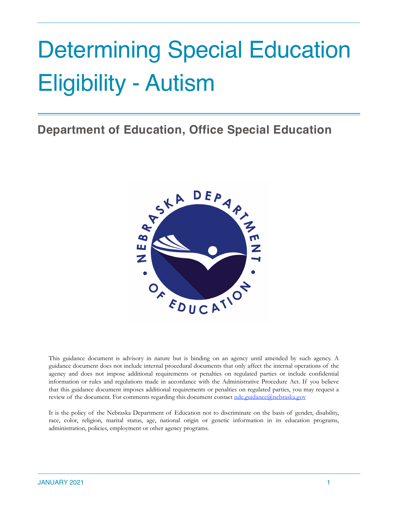# Determining Special Education Eligibility - Autism

**Department of Education, Office Special Education**



This guidance document is advisory in nature but is binding on an agency until amended by such agency. A guidance document does not include internal procedural documents that only affect the internal operations of the agency and does not impose additional requirements or penalties on regulated parties or include confidential information or rules and regulations made in accordance with the Administrative Procedure Act. If you believe that this guidance document imposes additional requirements or penalties on regulated parties, you may request a review of the document. For comments regarding this document contact <u>nde.guidance@nebraska.gov</u>

It is the policy of the Nebraska Department of Education not to discriminate on the basis of gender, disability, race, color, religion, marital status, age, national origin or genetic information in its education programs, administration, policies, employment or other agency programs.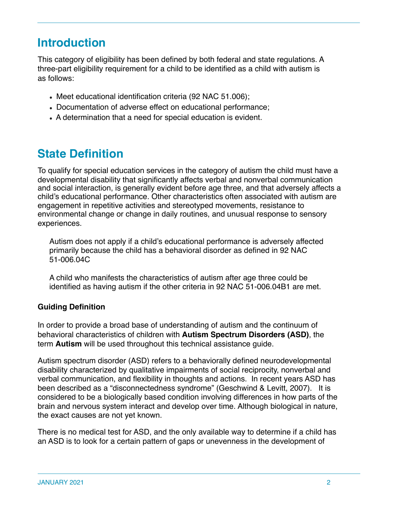# **Introduction**

This category of eligibility has been defined by both federal and state regulations. A three-part eligibility requirement for a child to be identified as a child with autism is as follows:

- Meet educational identification criteria (92 NAC 51.006);
- Documentation of adverse effect on educational performance;
- A determination that a need for special education is evident.

# **State Definition**

To qualify for special education services in the category of autism the child must have a developmental disability that significantly affects verbal and nonverbal communication and social interaction, is generally evident before age three, and that adversely affects a child's educational performance. Other characteristics often associated with autism are engagement in repetitive activities and stereotyped movements, resistance to environmental change or change in daily routines, and unusual response to sensory experiences.

Autism does not apply if a child's educational performance is adversely affected primarily because the child has a behavioral disorder as defined in 92 NAC 51-006.04C

A child who manifests the characteristics of autism after age three could be identified as having autism if the other criteria in 92 NAC 51-006.04B1 are met.

### **Guiding Definition**

In order to provide a broad base of understanding of autism and the continuum of behavioral characteristics of children with **Autism Spectrum Disorders (ASD)**, the term **Autism** will be used throughout this technical assistance guide.

Autism spectrum disorder (ASD) refers to a behaviorally defined neurodevelopmental disability characterized by qualitative impairments of social reciprocity, nonverbal and verbal communication, and flexibility in thoughts and actions. In recent years ASD has been described as a "disconnectedness syndrome" (Geschwind & Levitt, 2007). It is considered to be a biologically based condition involving differences in how parts of the brain and nervous system interact and develop over time. Although biological in nature, the exact causes are not yet known.

There is no medical test for ASD, and the only available way to determine if a child has an ASD is to look for a certain pattern of gaps or unevenness in the development of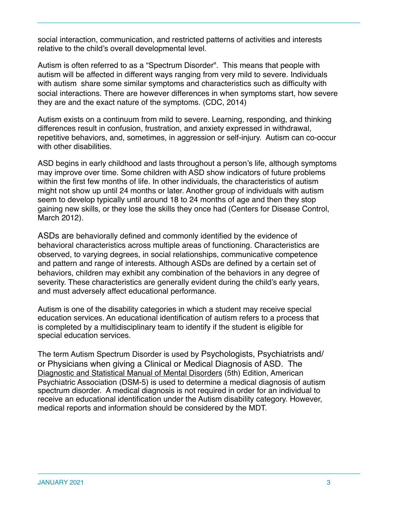social interaction, communication, and restricted patterns of activities and interests relative to the child's overall developmental level.

Autism is often referred to as a "Spectrum Disorder". This means that people with autism will be affected in different ways ranging from very mild to severe. Individuals with autism share some similar symptoms and characteristics such as difficulty with social interactions. There are however differences in when symptoms start, how severe they are and the exact nature of the symptoms. (CDC, 2014)

Autism exists on a continuum from mild to severe. Learning, responding, and thinking differences result in confusion, frustration, and anxiety expressed in withdrawal, repetitive behaviors, and, sometimes, in aggression or self-injury. Autism can co-occur with other disabilities.

ASD begins in early childhood and lasts throughout a person's life, although symptoms may improve over time. Some children with ASD show indicators of future problems within the first few months of life. In other individuals, the characteristics of autism might not show up until 24 months or later. Another group of individuals with autism seem to develop typically until around 18 to 24 months of age and then they stop gaining new skills, or they lose the skills they once had (Centers for Disease Control, March 2012).

ASDs are behaviorally defined and commonly identified by the evidence of behavioral characteristics across multiple areas of functioning. Characteristics are observed, to varying degrees, in social relationships, communicative competence and pattern and range of interests. Although ASDs are defined by a certain set of behaviors, children may exhibit any combination of the behaviors in any degree of severity. These characteristics are generally evident during the child's early years, and must adversely affect educational performance.

Autism is one of the disability categories in which a student may receive special education services. An educational identification of autism refers to a process that is completed by a multidisciplinary team to identify if the student is eligible for special education services.

The term Autism Spectrum Disorder is used by Psychologists, Psychiatrists and/ or Physicians when giving a Clinical or Medical Diagnosis of ASD. The Diagnostic and Statistical Manual of Mental Disorders (5th) Edition, American Psychiatric Association (DSM-5) is used to determine a medical diagnosis of autism spectrum disorder. A medical diagnosis is not required in order for an individual to receive an educational identification under the Autism disability category. However, medical reports and information should be considered by the MDT.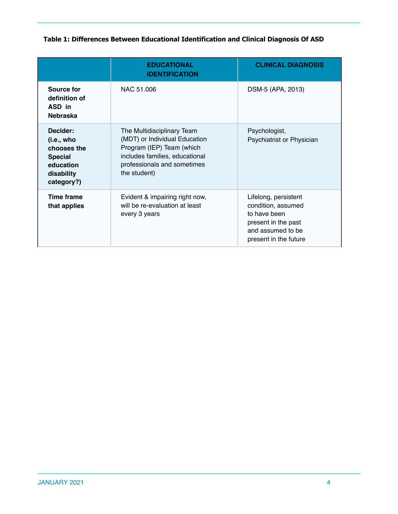### **Table 1: Differences Between Educational Identification and Clinical Diagnosis Of ASD**

|                                                                                                  | <b>EDUCATIONAL</b><br><b>IDENTIFICATION</b>                                                                                                                               | <b>CLINICAL DIAGNOSIS</b>                                                                                                       |
|--------------------------------------------------------------------------------------------------|---------------------------------------------------------------------------------------------------------------------------------------------------------------------------|---------------------------------------------------------------------------------------------------------------------------------|
| Source for<br>definition of<br>ASD in<br><b>Nebraska</b>                                         | NAC 51,006                                                                                                                                                                | DSM-5 (APA, 2013)                                                                                                               |
| Decider:<br>(i.e., who<br>chooses the<br><b>Special</b><br>education<br>disability<br>category?) | The Multidisciplinary Team<br>(MDT) or Individual Education<br>Program (IEP) Team (which<br>includes families, educational<br>professionals and sometimes<br>the student) | Psychologist,<br>Psychiatrist or Physician                                                                                      |
| <b>Time frame</b><br>that applies                                                                | Evident & impairing right now,<br>will be re-evaluation at least<br>every 3 years                                                                                         | Lifelong, persistent<br>condition, assumed<br>to have been<br>present in the past<br>and assumed to be<br>present in the future |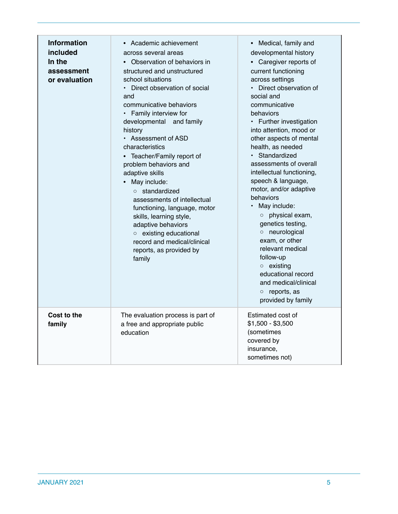| <b>Information</b><br>included<br>In the<br>assessment<br>or evaluation | • Academic achievement<br>across several areas<br>Observation of behaviors in<br>$\bullet$<br>structured and unstructured<br>school situations<br>Direct observation of social<br>and<br>communicative behaviors<br>• Family interview for<br>developmental and family<br>history<br>• Assessment of ASD<br>characteristics<br>• Teacher/Family report of<br>problem behaviors and<br>adaptive skills<br>May include:<br>$\bullet$<br>$\circ$ standardized<br>assessments of intellectual<br>functioning, language, motor<br>skills, learning style,<br>adaptive behaviors<br>o existing educational<br>record and medical/clinical<br>reports, as provided by<br>family | • Medical, family and<br>developmental history<br>• Caregiver reports of<br>current functioning<br>across settings<br>• Direct observation of<br>social and<br>communicative<br>behaviors<br>• Further investigation<br>into attention, mood or<br>other aspects of mental<br>health, as needed<br>• Standardized<br>assessments of overall<br>intellectual functioning,<br>speech & language,<br>motor, and/or adaptive<br>behaviors<br>May include:<br>o physical exam,<br>genetics testing,<br>o neurological<br>exam, or other<br>relevant medical<br>follow-up<br>$\circ$ existing<br>educational record |
|-------------------------------------------------------------------------|--------------------------------------------------------------------------------------------------------------------------------------------------------------------------------------------------------------------------------------------------------------------------------------------------------------------------------------------------------------------------------------------------------------------------------------------------------------------------------------------------------------------------------------------------------------------------------------------------------------------------------------------------------------------------|---------------------------------------------------------------------------------------------------------------------------------------------------------------------------------------------------------------------------------------------------------------------------------------------------------------------------------------------------------------------------------------------------------------------------------------------------------------------------------------------------------------------------------------------------------------------------------------------------------------|
|                                                                         |                                                                                                                                                                                                                                                                                                                                                                                                                                                                                                                                                                                                                                                                          | and medical/clinical<br>reports, as<br>$\bigcirc$<br>provided by family                                                                                                                                                                                                                                                                                                                                                                                                                                                                                                                                       |
| Cost to the<br>family                                                   | The evaluation process is part of<br>a free and appropriate public<br>education                                                                                                                                                                                                                                                                                                                                                                                                                                                                                                                                                                                          | Estimated cost of<br>$$1,500 - $3,500$<br>(sometimes<br>covered by<br>insurance,<br>sometimes not)                                                                                                                                                                                                                                                                                                                                                                                                                                                                                                            |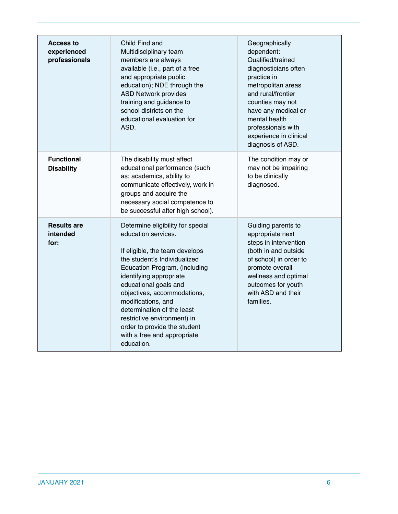| <b>Access to</b><br>experienced<br>professionals | Child Find and<br>Multidisciplinary team<br>members are always<br>available (i.e., part of a free<br>and appropriate public<br>education); NDE through the<br><b>ASD Network provides</b><br>training and guidance to<br>school districts on the<br>educational evaluation for<br>ASD.                                                                                                                         | Geographically<br>dependent:<br>Qualified/trained<br>diagnosticians often<br>practice in<br>metropolitan areas<br>and rural/frontier<br>counties may not<br>have any medical or<br>mental health<br>professionals with<br>experience in clinical<br>diagnosis of ASD. |
|--------------------------------------------------|----------------------------------------------------------------------------------------------------------------------------------------------------------------------------------------------------------------------------------------------------------------------------------------------------------------------------------------------------------------------------------------------------------------|-----------------------------------------------------------------------------------------------------------------------------------------------------------------------------------------------------------------------------------------------------------------------|
| <b>Functional</b><br><b>Disability</b>           | The disability must affect<br>educational performance (such<br>as; academics, ability to<br>communicate effectively, work in<br>groups and acquire the<br>necessary social competence to<br>be successful after high school).                                                                                                                                                                                  | The condition may or<br>may not be impairing<br>to be clinically<br>diagnosed.                                                                                                                                                                                        |
| <b>Results are</b><br>intended<br>for:           | Determine eligibility for special<br>education services.<br>If eligible, the team develops<br>the student's Individualized<br>Education Program, (including<br>identifying appropriate<br>educational goals and<br>objectives, accommodations,<br>modifications, and<br>determination of the least<br>restrictive environment) in<br>order to provide the student<br>with a free and appropriate<br>education. | Guiding parents to<br>appropriate next<br>steps in intervention<br>(both in and outside<br>of school) in order to<br>promote overall<br>wellness and optimal<br>outcomes for youth<br>with ASD and their<br>families.                                                 |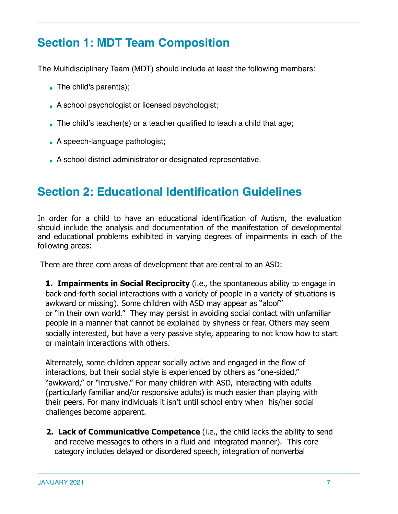# **Section 1: MDT Team Composition**

The Multidisciplinary Team (MDT) should include at least the following members:

- $\bullet$  The child's parent(s);
- A school psychologist or licensed psychologist;
- $\bullet$  The child's teacher(s) or a teacher qualified to teach a child that age;
- $\bullet$  A speech-language pathologist;
- A school district administrator or designated representative.

# **Section 2: Educational Identification Guidelines**

In order for a child to have an educational identification of Autism, the evaluation should include the analysis and documentation of the manifestation of developmental and educational problems exhibited in varying degrees of impairments in each of the following areas:

There are three core areas of development that are central to an ASD:

**1. Impairments in Social Reciprocity** (i.e., the spontaneous ability to engage in back-and-forth social interactions with a variety of people in a variety of situations is awkward or missing). Some children with ASD may appear as "aloof" or "in their own world." They may persist in avoiding social contact with unfamiliar people in a manner that cannot be explained by shyness or fear. Others may seem socially interested, but have a very passive style, appearing to not know how to start or maintain interactions with others.

Alternately, some children appear socially active and engaged in the flow of interactions, but their social style is experienced by others as "one-sided," "awkward," or "intrusive." For many children with ASD, interacting with adults (particularly familiar and/or responsive adults) is much easier than playing with their peers. For many individuals it isn't until school entry when his/her social challenges become apparent.

**2. Lack of Communicative Competence** (i.e., the child lacks the ability to send and receive messages to others in a fluid and integrated manner). This core category includes delayed or disordered speech, integration of nonverbal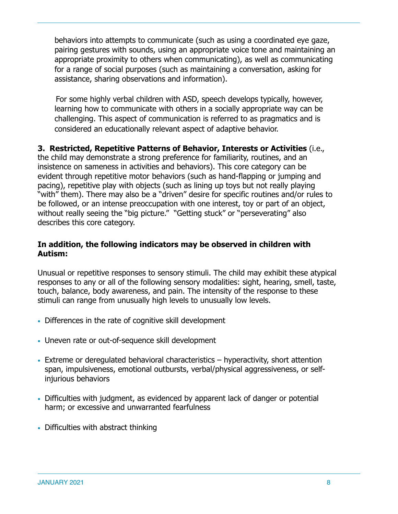behaviors into attempts to communicate (such as using a coordinated eye gaze, pairing gestures with sounds, using an appropriate voice tone and maintaining an appropriate proximity to others when communicating), as well as communicating for a range of social purposes (such as maintaining a conversation, asking for assistance, sharing observations and information).

 For some highly verbal children with ASD, speech develops typically, however, learning how to communicate with others in a socially appropriate way can be challenging. This aspect of communication is referred to as pragmatics and is considered an educationally relevant aspect of adaptive behavior.

**3. Restricted, Repetitive Patterns of Behavior, Interests or Activities** (i.e., the child may demonstrate a strong preference for familiarity, routines, and an insistence on sameness in activities and behaviors). This core category can be evident through repetitive motor behaviors (such as hand-flapping or jumping and pacing), repetitive play with objects (such as lining up toys but not really playing "with" them). There may also be a "driven" desire for specific routines and/or rules to be followed, or an intense preoccupation with one interest, toy or part of an object, without really seeing the "big picture." "Getting stuck" or "perseverating" also

# **In addition, the following indicators may be observed in children with Autism:**

Unusual or repetitive responses to sensory stimuli. The child may exhibit these atypical responses to any or all of the following sensory modalities: sight, hearing, smell, taste, touch, balance, body awareness, and pain. The intensity of the response to these stimuli can range from unusually high levels to unusually low levels.

- Differences in the rate of cognitive skill development
- Uneven rate or out-of-sequence skill development
- Extreme or deregulated behavioral characteristics hyperactivity, short attention span, impulsiveness, emotional outbursts, verbal/physical aggressiveness, or selfinjurious behaviors
- Difficulties with judgment, as evidenced by apparent lack of danger or potential harm; or excessive and unwarranted fearfulness
- Difficulties with abstract thinking

describes this core category.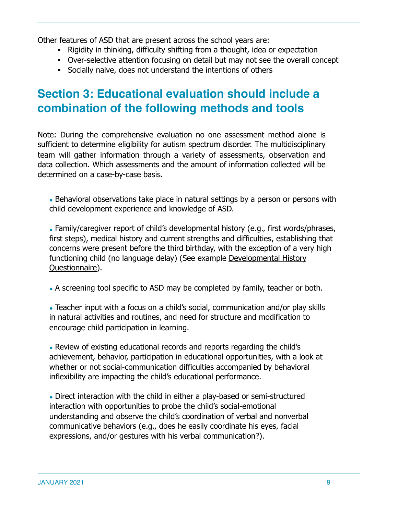Other features of ASD that are present across the school years are:

- Rigidity in thinking, difficulty shifting from a thought, idea or expectation
- Over-selective attention focusing on detail but may not see the overall concept
- Socially naive, does not understand the intentions of others

# **Section 3: Educational evaluation should include a combination of the following methods and tools**

Note: During the comprehensive evaluation no one assessment method alone is sufficient to determine eligibility for autism spectrum disorder. The multidisciplinary team will gather information through a variety of assessments, observation and data collection. Which assessments and the amount of information collected will be determined on a case-by-case basis.

• Behavioral observations take place in natural settings by a person or persons with child development experience and knowledge of ASD.

• Family/caregiver report of child's developmental history (e.g., first words/phrases, first steps), medical history and current strengths and difficulties, establishing that concerns were present before the third birthday, with the exception of a very high functioning child (no language delay) (See example [Developmental History](https://drive.google.com/file/d/1kAoV4hjOUSy5vQOATg9g8rSy7vyF-5AD/view?usp=sharing)  [Questionnaire](https://drive.google.com/file/d/1kAoV4hjOUSy5vQOATg9g8rSy7vyF-5AD/view?usp=sharing)).

• A screening tool specific to ASD may be completed by family, teacher or both.

• Teacher input with a focus on a child's social, communication and/or play skills in natural activities and routines, and need for structure and modification to encourage child participation in learning.

• Review of existing educational records and reports regarding the child's achievement, behavior, participation in educational opportunities, with a look at whether or not social-communication difficulties accompanied by behavioral inflexibility are impacting the child's educational performance.

• Direct interaction with the child in either a play-based or semi-structured interaction with opportunities to probe the child's social-emotional understanding and observe the child's coordination of verbal and nonverbal communicative behaviors (e.g., does he easily coordinate his eyes, facial expressions, and/or gestures with his verbal communication?).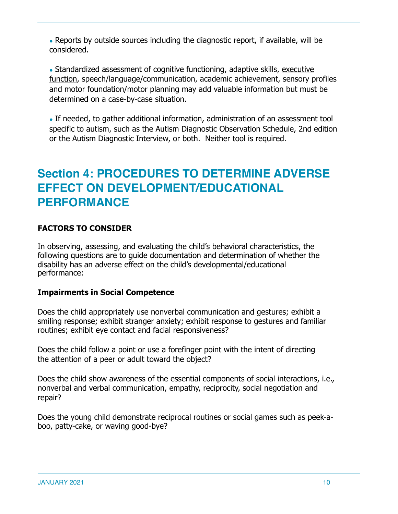• Reports by outside sources including the diagnostic report, if available, will be considered.

• Standardized assessment of cognitive functioning, adaptive skills, executive [function](http://www.ncbi.nlm.nih.gov/pmc/articles/PMC3420556/), speech/language/communication, academic achievement, sensory profiles and motor foundation/motor planning may add valuable information but must be determined on a case-by-case situation.

• If needed, to gather additional information, administration of an assessment tool specific to autism, such as the Autism Diagnostic Observation Schedule, 2nd edition or the Autism Diagnostic Interview, or both. Neither tool is required.

# **Section 4: PROCEDURES TO DETERMINE ADVERSE EFFECT ON DEVELOPMENT/EDUCATIONAL PERFORMANCE**

### **FACTORS TO CONSIDER**

In observing, assessing, and evaluating the child's behavioral characteristics, the following questions are to guide documentation and determination of whether the disability has an adverse effect on the child's developmental/educational performance:

### **Impairments in Social Competence**

Does the child appropriately use nonverbal communication and gestures; exhibit a smiling response; exhibit stranger anxiety; exhibit response to gestures and familiar routines; exhibit eye contact and facial responsiveness?

Does the child follow a point or use a forefinger point with the intent of directing the attention of a peer or adult toward the object?

Does the child show awareness of the essential components of social interactions, i.e., nonverbal and verbal communication, empathy, reciprocity, social negotiation and repair?

Does the young child demonstrate reciprocal routines or social games such as peek-aboo, patty-cake, or waving good-bye?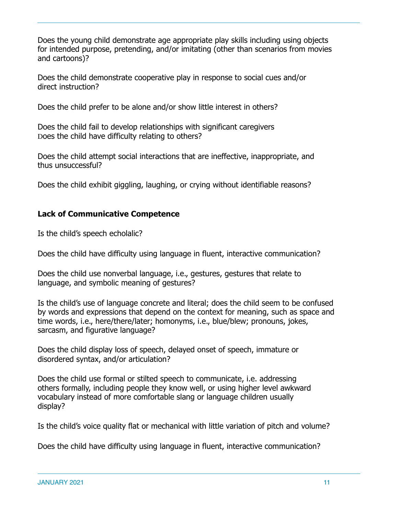Does the young child demonstrate age appropriate play skills including using objects for intended purpose, pretending, and/or imitating (other than scenarios from movies and cartoons)?

Does the child demonstrate cooperative play in response to social cues and/or direct instruction?

Does the child prefer to be alone and/or show little interest in others?

Does the child fail to develop relationships with significant caregivers Does the child have difficulty relating to others?

Does the child attempt social interactions that are ineffective, inappropriate, and thus unsuccessful?

Does the child exhibit giggling, laughing, or crying without identifiable reasons?

### **Lack of Communicative Competence**

Is the child's speech echolalic?

Does the child have difficulty using language in fluent, interactive communication?

Does the child use nonverbal language, i.e., gestures, gestures that relate to language, and symbolic meaning of gestures?

Is the child's use of language concrete and literal; does the child seem to be confused by words and expressions that depend on the context for meaning, such as space and time words, i.e., here/there/later; homonyms, i.e., blue/blew; pronouns, jokes, sarcasm, and figurative language?

Does the child display loss of speech, delayed onset of speech, immature or disordered syntax, and/or articulation?

Does the child use formal or stilted speech to communicate, i.e. addressing others formally, including people they know well, or using higher level awkward vocabulary instead of more comfortable slang or language children usually display?

Is the child's voice quality flat or mechanical with little variation of pitch and volume?

Does the child have difficulty using language in fluent, interactive communication?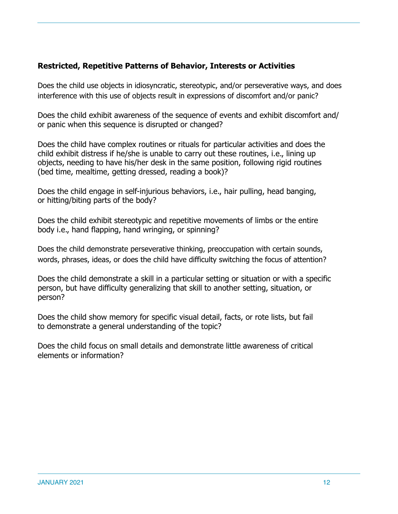### **Restricted, Repetitive Patterns of Behavior, Interests or Activities**

Does the child use objects in idiosyncratic, stereotypic, and/or perseverative ways, and does interference with this use of objects result in expressions of discomfort and/or panic?

Does the child exhibit awareness of the sequence of events and exhibit discomfort and/ or panic when this sequence is disrupted or changed?

Does the child have complex routines or rituals for particular activities and does the child exhibit distress if he/she is unable to carry out these routines, i.e., lining up objects, needing to have his/her desk in the same position, following rigid routines (bed time, mealtime, getting dressed, reading a book)?

Does the child engage in self-injurious behaviors, i.e., hair pulling, head banging, or hitting/biting parts of the body?

Does the child exhibit stereotypic and repetitive movements of limbs or the entire body i.e., hand flapping, hand wringing, or spinning?

Does the child demonstrate perseverative thinking, preoccupation with certain sounds, words, phrases, ideas, or does the child have difficulty switching the focus of attention?

Does the child demonstrate a skill in a particular setting or situation or with a specific person, but have difficulty generalizing that skill to another setting, situation, or person?

Does the child show memory for specific visual detail, facts, or rote lists, but fail to demonstrate a general understanding of the topic?

Does the child focus on small details and demonstrate little awareness of critical elements or information?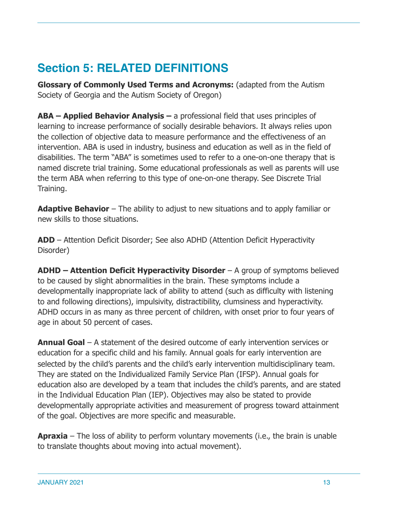# **Section 5: RELATED DEFINITIONS**

**Glossary of Commonly Used Terms and Acronyms:** (adapted from the Autism Society of Georgia and the Autism Society of Oregon)

**ABA – Applied Behavior Analysis –** a professional field that uses principles of learning to increase performance of socially desirable behaviors. It always relies upon the collection of objective data to measure performance and the effectiveness of an intervention. ABA is used in industry, business and education as well as in the field of disabilities. The term "ABA" is sometimes used to refer to a one-on-one therapy that is named discrete trial training. Some educational professionals as well as parents will use the term ABA when referring to this type of one-on-one therapy. See Discrete Trial Training.

**Adaptive Behavior** – The ability to adjust to new situations and to apply familiar or new skills to those situations.

**ADD** – Attention Deficit Disorder; See also ADHD (Attention Deficit Hyperactivity Disorder)

**ADHD – Attention Deficit Hyperactivity Disorder** – A group of symptoms believed to be caused by slight abnormalities in the brain. These symptoms include a developmentally inappropriate lack of ability to attend (such as difficulty with listening to and following directions), impulsivity, distractibility, clumsiness and hyperactivity. ADHD occurs in as many as three percent of children, with onset prior to four years of age in about 50 percent of cases.

**Annual Goal** – A statement of the desired outcome of early intervention services or education for a specific child and his family. Annual goals for early intervention are selected by the child's parents and the child's early intervention multidisciplinary team. They are stated on the Individualized Family Service Plan (IFSP). Annual goals for education also are developed by a team that includes the child's parents, and are stated in the Individual Education Plan (IEP). Objectives may also be stated to provide developmentally appropriate activities and measurement of progress toward attainment of the goal. Objectives are more specific and measurable.

**Apraxia** – The loss of ability to perform voluntary movements (i.e., the brain is unable to translate thoughts about moving into actual movement).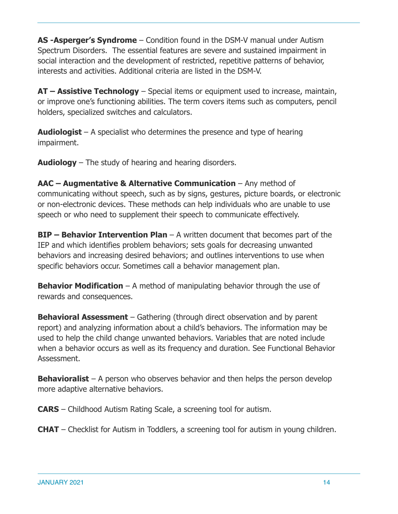**AS -Asperger's Syndrome** – Condition found in the DSM-V manual under Autism Spectrum Disorders. The essential features are severe and sustained impairment in social interaction and the development of restricted, repetitive patterns of behavior, interests and activities. Additional criteria are listed in the DSM-V.

**AT – Assistive Technology** – Special items or equipment used to increase, maintain, or improve one's functioning abilities. The term covers items such as computers, pencil holders, specialized switches and calculators.

**Audiologist** – A specialist who determines the presence and type of hearing impairment.

**Audiology** – The study of hearing and hearing disorders.

**AAC – Augmentative & Alternative Communication** – Any method of communicating without speech, such as by signs, gestures, picture boards, or electronic or non-electronic devices. These methods can help individuals who are unable to use speech or who need to supplement their speech to communicate effectively.

**BIP – Behavior Intervention Plan** – A written document that becomes part of the IEP and which identifies problem behaviors; sets goals for decreasing unwanted behaviors and increasing desired behaviors; and outlines interventions to use when specific behaviors occur. Sometimes call a behavior management plan.

**Behavior Modification** – A method of manipulating behavior through the use of rewards and consequences.

**Behavioral Assessment** – Gathering (through direct observation and by parent report) and analyzing information about a child's behaviors. The information may be used to help the child change unwanted behaviors. Variables that are noted include when a behavior occurs as well as its frequency and duration. See Functional Behavior Assessment.

**Behavioralist** – A person who observes behavior and then helps the person develop more adaptive alternative behaviors.

**CARS** – Childhood Autism Rating Scale, a screening tool for autism.

**CHAT** – Checklist for Autism in Toddlers, a screening tool for autism in young children.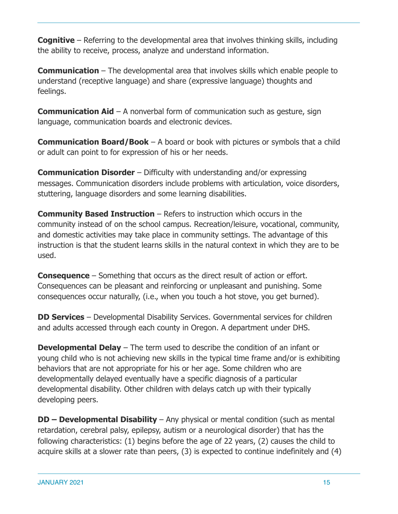**Cognitive** – Referring to the developmental area that involves thinking skills, including the ability to receive, process, analyze and understand information.

**Communication** – The developmental area that involves skills which enable people to understand (receptive language) and share (expressive language) thoughts and feelings.

**Communication Aid** – A nonverbal form of communication such as gesture, sign language, communication boards and electronic devices.

**Communication Board/Book** – A board or book with pictures or symbols that a child or adult can point to for expression of his or her needs.

**Communication Disorder** – Difficulty with understanding and/or expressing messages. Communication disorders include problems with articulation, voice disorders, stuttering, language disorders and some learning disabilities.

**Community Based Instruction** – Refers to instruction which occurs in the community instead of on the school campus. Recreation/leisure, vocational, community, and domestic activities may take place in community settings. The advantage of this instruction is that the student learns skills in the natural context in which they are to be used.

**Consequence** – Something that occurs as the direct result of action or effort. Consequences can be pleasant and reinforcing or unpleasant and punishing. Some consequences occur naturally, (i.e., when you touch a hot stove, you get burned).

**DD Services** – Developmental Disability Services. Governmental services for children and adults accessed through each county in Oregon. A department under DHS.

**Developmental Delay** – The term used to describe the condition of an infant or young child who is not achieving new skills in the typical time frame and/or is exhibiting behaviors that are not appropriate for his or her age. Some children who are developmentally delayed eventually have a specific diagnosis of a particular developmental disability. Other children with delays catch up with their typically developing peers.

**DD – Developmental Disability** – Any physical or mental condition (such as mental retardation, cerebral palsy, epilepsy, autism or a neurological disorder) that has the following characteristics: (1) begins before the age of 22 years, (2) causes the child to acquire skills at a slower rate than peers, (3) is expected to continue indefinitely and (4)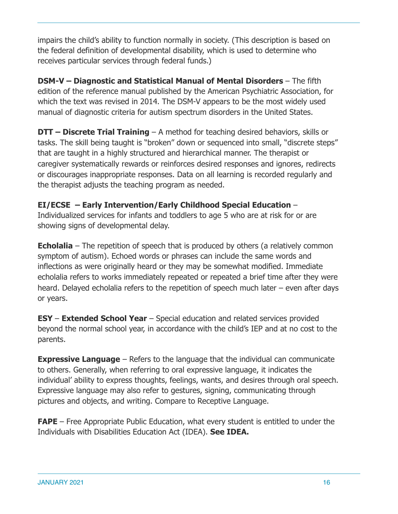impairs the child's ability to function normally in society. (This description is based on the federal definition of developmental disability, which is used to determine who receives particular services through federal funds.)

**DSM-V – Diagnostic and Statistical Manual of Mental Disorders – The fifth** edition of the reference manual published by the American Psychiatric Association, for which the text was revised in 2014. The DSM-V appears to be the most widely used manual of diagnostic criteria for autism spectrum disorders in the United States.

**DTT – Discrete Trial Training** – A method for teaching desired behaviors, skills or tasks. The skill being taught is "broken" down or sequenced into small, "discrete steps" that are taught in a highly structured and hierarchical manner. The therapist or caregiver systematically rewards or reinforces desired responses and ignores, redirects or discourages inappropriate responses. Data on all learning is recorded regularly and the therapist adjusts the teaching program as needed.

# **EI/ECSE – Early Intervention/Early Childhood Special Education** –

Individualized services for infants and toddlers to age 5 who are at risk for or are showing signs of developmental delay.

**Echolalia** – The repetition of speech that is produced by others (a relatively common symptom of autism). Echoed words or phrases can include the same words and inflections as were originally heard or they may be somewhat modified. Immediate echolalia refers to works immediately repeated or repeated a brief time after they were heard. Delayed echolalia refers to the repetition of speech much later – even after days or years.

**ESY** – **Extended School Year** – Special education and related services provided beyond the normal school year, in accordance with the child's IEP and at no cost to the parents.

**Expressive Language** – Refers to the language that the individual can communicate to others. Generally, when referring to oral expressive language, it indicates the individual' ability to express thoughts, feelings, wants, and desires through oral speech. Expressive language may also refer to gestures, signing, communicating through pictures and objects, and writing. Compare to Receptive Language.

**FAPE** – Free Appropriate Public Education, what every student is entitled to under the Individuals with Disabilities Education Act (IDEA). **See IDEA.**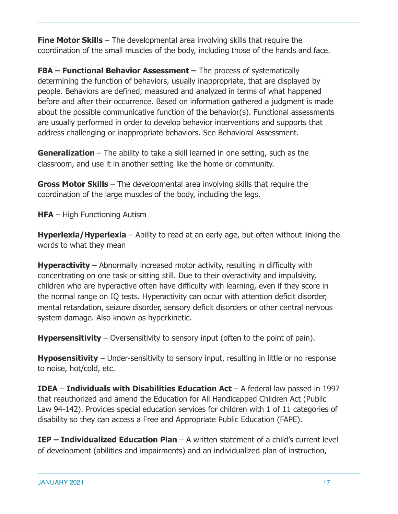**Fine Motor Skills** – The developmental area involving skills that require the coordination of the small muscles of the body, including those of the hands and face.

**FBA – Functional Behavior Assessment –** The process of systematically determining the function of behaviors, usually inappropriate, that are displayed by people. Behaviors are defined, measured and analyzed in terms of what happened before and after their occurrence. Based on information gathered a judgment is made about the possible communicative function of the behavior(s). Functional assessments are usually performed in order to develop behavior interventions and supports that address challenging or inappropriate behaviors. See Behavioral Assessment.

**Generalization** – The ability to take a skill learned in one setting, such as the classroom, and use it in another setting like the home or community.

**Gross Motor Skills** – The developmental area involving skills that require the coordination of the large muscles of the body, including the legs.

**HFA** – High Functioning Autism

**Hyperlexia/Hyperlexia** – Ability to read at an early age, but often without linking the words to what they mean

**Hyperactivity** – Abnormally increased motor activity, resulting in difficulty with concentrating on one task or sitting still. Due to their overactivity and impulsivity, children who are hyperactive often have difficulty with learning, even if they score in the normal range on IQ tests. Hyperactivity can occur with attention deficit disorder, mental retardation, seizure disorder, sensory deficit disorders or other central nervous system damage. Also known as hyperkinetic.

**Hypersensitivity** – Oversensitivity to sensory input (often to the point of pain).

**Hyposensitivity** – Under-sensitivity to sensory input, resulting in little or no response to noise, hot/cold, etc.

**IDEA** – **Individuals with Disabilities Education Act** – A federal law passed in 1997 that reauthorized and amend the Education for All Handicapped Children Act (Public Law 94-142). Provides special education services for children with 1 of 11 categories of disability so they can access a Free and Appropriate Public Education (FAPE).

**IEP – Individualized Education Plan** – A written statement of a child's current level of development (abilities and impairments) and an individualized plan of instruction,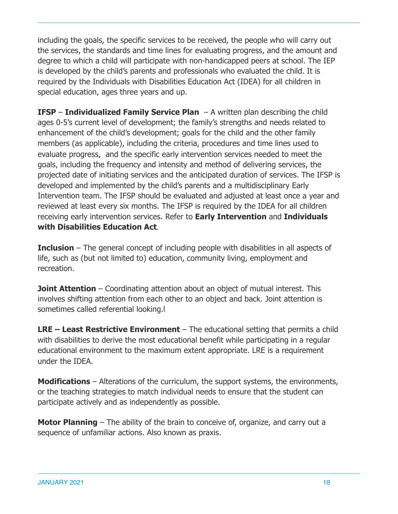including the goals, the specific services to be received, the people who will carry out the services, the standards and time lines for evaluating progress, and the amount and degree to which a child will participate with non-handicapped peers at school. The IEP is developed by the child's parents and professionals who evaluated the child. It is required by the Individuals with Disabilities Education Act (IDEA) for all children in special education, ages three years and up.

**IFSP** – **Individualized Family Service Plan** – A written plan describing the child ages 0-5's current level of development; the family's strengths and needs related to enhancement of the child's development; goals for the child and the other family members (as applicable), including the criteria, procedures and time lines used to evaluate progress, and the specific early intervention services needed to meet the goals, including the frequency and intensity and method of delivering services, the projected date of initiating services and the anticipated duration of services. The IFSP is developed and implemented by the child's parents and a multidisciplinary Early Intervention team. The IFSP should be evaluated and adjusted at least once a year and reviewed at least every six months. The IFSP is required by the IDEA for all children receiving early intervention services. Refer to **Early Intervention** and **Individuals with Disabilities Education Act**.

**Inclusion** – The general concept of including people with disabilities in all aspects of life, such as (but not limited to) education, community living, employment and recreation.

**Joint Attention** – Coordinating attention about an object of mutual interest. This involves shifting attention from each other to an object and back. Joint attention is sometimes called referential looking.l

**LRE – Least Restrictive Environment** – The educational setting that permits a child with disabilities to derive the most educational benefit while participating in a regular educational environment to the maximum extent appropriate. LRE is a requirement under the IDEA.

**Modifications** – Alterations of the curriculum, the support systems, the environments, or the teaching strategies to match individual needs to ensure that the student can participate actively and as independently as possible.

**Motor Planning** – The ability of the brain to conceive of, organize, and carry out a sequence of unfamiliar actions. Also known as praxis.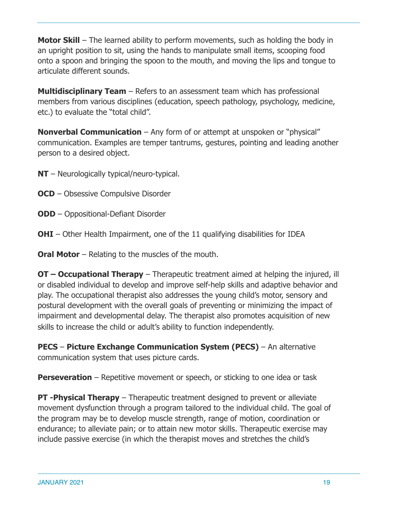**Motor Skill** – The learned ability to perform movements, such as holding the body in an upright position to sit, using the hands to manipulate small items, scooping food onto a spoon and bringing the spoon to the mouth, and moving the lips and tongue to articulate different sounds.

**Multidisciplinary Team** – Refers to an assessment team which has professional members from various disciplines (education, speech pathology, psychology, medicine, etc.) to evaluate the "total child".

**Nonverbal Communication** – Any form of or attempt at unspoken or "physical" communication. Examples are temper tantrums, gestures, pointing and leading another person to a desired object.

- **NT** Neurologically typical/neuro-typical.
- **OCD** Obsessive Compulsive Disorder
- **ODD**  Oppositional-Defiant Disorder
- **OHI** Other Health Impairment, one of the 11 qualifying disabilities for IDEA
- **Oral Motor** Relating to the muscles of the mouth.

**OT – Occupational Therapy** – Therapeutic treatment aimed at helping the injured, ill or disabled individual to develop and improve self-help skills and adaptive behavior and play. The occupational therapist also addresses the young child's motor, sensory and postural development with the overall goals of preventing or minimizing the impact of impairment and developmental delay. The therapist also promotes acquisition of new skills to increase the child or adult's ability to function independently.

**PECS** – **Picture Exchange Communication System (PECS)** – An alternative communication system that uses picture cards.

**Perseveration** – Repetitive movement or speech, or sticking to one idea or task

**PT -Physical Therapy** – Therapeutic treatment designed to prevent or alleviate movement dysfunction through a program tailored to the individual child. The goal of the program may be to develop muscle strength, range of motion, coordination or endurance; to alleviate pain; or to attain new motor skills. Therapeutic exercise may include passive exercise (in which the therapist moves and stretches the child's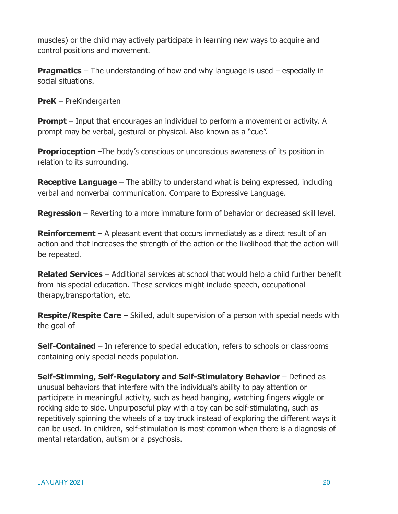muscles) or the child may actively participate in learning new ways to acquire and control positions and movement.

**Pragmatics** – The understanding of how and why language is used – especially in social situations.

**PreK** – PreKindergarten

**Prompt** – Input that encourages an individual to perform a movement or activity. A prompt may be verbal, gestural or physical. Also known as a "cue".

**Proprioception** –The body's conscious or unconscious awareness of its position in relation to its surrounding.

**Receptive Language** – The ability to understand what is being expressed, including verbal and nonverbal communication. Compare to Expressive Language.

**Regression** – Reverting to a more immature form of behavior or decreased skill level.

**Reinforcement** – A pleasant event that occurs immediately as a direct result of an action and that increases the strength of the action or the likelihood that the action will be repeated.

**Related Services** – Additional services at school that would help a child further benefit from his special education. These services might include speech, occupational therapy,transportation, etc.

**Respite/Respite Care** – Skilled, adult supervision of a person with special needs with the goal of

**Self-Contained** – In reference to special education, refers to schools or classrooms containing only special needs population.

**Self-Stimming, Self-Regulatory and Self-Stimulatory Behavior** – Defined as unusual behaviors that interfere with the individual's ability to pay attention or participate in meaningful activity, such as head banging, watching fingers wiggle or rocking side to side. Unpurposeful play with a toy can be self-stimulating, such as repetitively spinning the wheels of a toy truck instead of exploring the different ways it can be used. In children, self-stimulation is most common when there is a diagnosis of mental retardation, autism or a psychosis.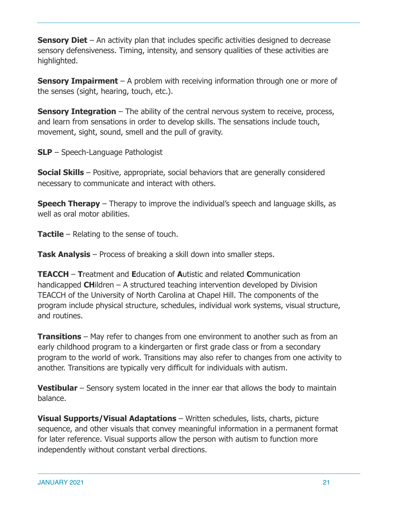**Sensory Diet** – An activity plan that includes specific activities designed to decrease sensory defensiveness. Timing, intensity, and sensory qualities of these activities are highlighted.

**Sensory Impairment** – A problem with receiving information through one or more of the senses (sight, hearing, touch, etc.).

**Sensory Integration** – The ability of the central nervous system to receive, process, and learn from sensations in order to develop skills. The sensations include touch, movement, sight, sound, smell and the pull of gravity.

**SLP** – Speech-Language Pathologist

**Social Skills** – Positive, appropriate, social behaviors that are generally considered necessary to communicate and interact with others.

**Speech Therapy** – Therapy to improve the individual's speech and language skills, as well as oral motor abilities.

**Tactile** – Relating to the sense of touch.

**Task Analysis** – Process of breaking a skill down into smaller steps.

**TEACCH** – **T**reatment and **E**ducation of **A**utistic and related **C**ommunication handicapped **CH**ildren – A structured teaching intervention developed by Division TEACCH of the University of North Carolina at Chapel Hill. The components of the program include physical structure, schedules, individual work systems, visual structure, and routines.

**Transitions** – May refer to changes from one environment to another such as from an early childhood program to a kindergarten or first grade class or from a secondary program to the world of work. Transitions may also refer to changes from one activity to another. Transitions are typically very difficult for individuals with autism.

**Vestibular** – Sensory system located in the inner ear that allows the body to maintain balance.

**Visual Supports/Visual Adaptations** – Written schedules, lists, charts, picture sequence, and other visuals that convey meaningful information in a permanent format for later reference. Visual supports allow the person with autism to function more independently without constant verbal directions.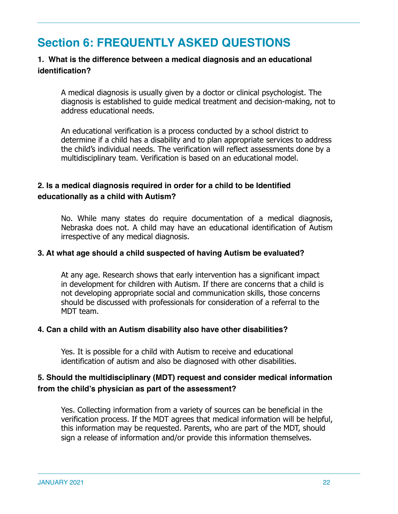# **Section 6: FREQUENTLY ASKED QUESTIONS**

### **1. What is the difference between a medical diagnosis and an educational identification?**

A medical diagnosis is usually given by a doctor or clinical psychologist. The diagnosis is established to guide medical treatment and decision-making, not to address educational needs.

An educational verification is a process conducted by a school district to determine if a child has a disability and to plan appropriate services to address the child's individual needs. The verification will reflect assessments done by a multidisciplinary team. Verification is based on an educational model.

### **2. Is a medical diagnosis required in order for a child to be Identified educationally as a child with Autism?**

No. While many states do require documentation of a medical diagnosis, Nebraska does not. A child may have an educational identification of Autism irrespective of any medical diagnosis.

#### **3. At what age should a child suspected of having Autism be evaluated?**

At any age. Research shows that early intervention has a significant impact in development for children with Autism. If there are concerns that a child is not developing appropriate social and communication skills, those concerns should be discussed with professionals for consideration of a referral to the MDT team.

#### **4. Can a child with an Autism disability also have other disabilities?**

Yes. It is possible for a child with Autism to receive and educational identification of autism and also be diagnosed with other disabilities.

### **5. Should the multidisciplinary (MDT) request and consider medical information from the child's physician as part of the assessment?**

Yes. Collecting information from a variety of sources can be beneficial in the verification process. If the MDT agrees that medical information will be helpful, this information may be requested. Parents, who are part of the MDT, should sign a release of information and/or provide this information themselves.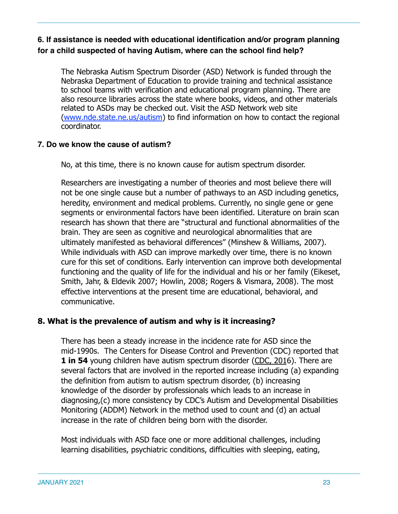## **6. If assistance is needed with educational identification and/or program planning for a child suspected of having Autism, where can the school find help?**

The Nebraska Autism Spectrum Disorder (ASD) Network is funded through the Nebraska Department of Education to provide training and technical assistance to school teams with verification and educational program planning. There are also resource libraries across the state where books, videos, and other materials related to ASDs may be checked out. Visit the ASD Network web site (www.nde.state.ne.us/autism) to find information on how to contact the regional coordinator.

#### **7. Do we know the cause of autism?**

No, at this time, there is no known cause for autism spectrum disorder.

Researchers are investigating a number of theories and most believe there will not be one single cause but a number of pathways to an ASD including genetics, heredity, environment and medical problems. Currently, no single gene or gene segments or environmental factors have been identified. Literature on brain scan research has shown that there are "structural and functional abnormalities of the brain. They are seen as cognitive and neurological abnormalities that are ultimately manifested as behavioral differences" (Minshew & Williams, 2007). While individuals with ASD can improve markedly over time, there is no known cure for this set of conditions. Early intervention can improve both developmental functioning and the quality of life for the individual and his or her family (Eikeset, Smith, Jahr, & Eldevik 2007; Howlin, 2008; Rogers & Vismara, 2008). The most effective interventions at the present time are educational, behavioral, and communicative.

### **8. What is the prevalence of autism and why is it increasing?**

There has been a steady increase in the incidence rate for ASD since the mid-1990s. The Centers for Disease Control and Prevention (CDC) reported that **1 in 54** young children have autism spectrum disorder ([CDC, 201](http://www.cdc.gov/ncbddd/autism/fac)6). There are several factors that are involved in the reported increase including (a) expanding the definition from autism to autism spectrum disorder, (b) increasing knowledge of the disorder by professionals which leads to an increase in diagnosing,(c) more consistency by CDC's Autism and Developmental Disabilities Monitoring (ADDM) Network in the method used to count and (d) an actual increase in the rate of children being born with the disorder.

Most individuals with ASD face one or more additional challenges, including learning disabilities, psychiatric conditions, difficulties with sleeping, eating,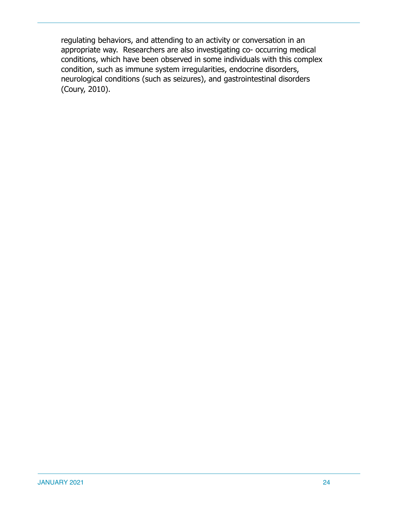regulating behaviors, and attending to an activity or conversation in an appropriate way. Researchers are also investigating co- occurring medical conditions, which have been observed in some individuals with this complex condition, such as immune system irregularities, endocrine disorders, neurological conditions (such as seizures), and gastrointestinal disorders (Coury, 2010).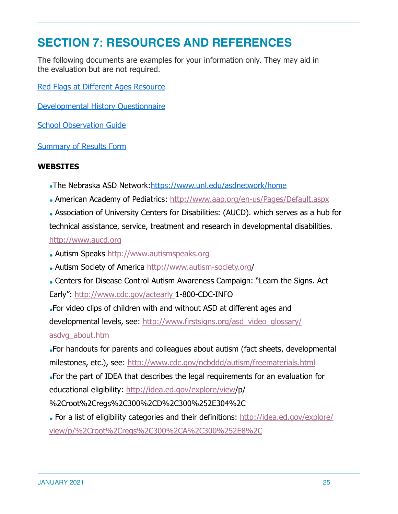# **SECTION 7: RESOURCES AND REFERENCES**

The following documents are examples for your information only. They may aid in the evaluation but are not required.

[Red Flags at Different Ages Resource](https://drive.google.com/file/d/1L6KOaB1gjx8hHYr7xwZsADIU4qPPfRwH/view?usp=sharing)

[Developmental History Questionnaire](https://drive.google.com/file/d/1kAoV4hjOUSy5vQOATg9g8rSy7vyF-5AD/view?usp=sharing)

[School Observation Guide](https://drive.google.com/file/d/1lBRyIvC5My2b5sNwNnXATagUPVhObvle/view?usp=sharing)

[Summary of Results Form](https://drive.google.com/file/d/1XF9uh_FTok_31Ta8OoX_MRxj98oDbF3l/view?usp=sharing)

#### **WEBSITES**

- •The Nebraska ASD Network: <https://www.unl.edu/asdnetwork/home>
- American Academy of Pediatrics: <http://www.aap.org/en-us/Pages/Default.aspx>
- Association of University Centers for Disabilities: (AUCD). which serves as a hub for technical assistance, service, treatment and research in developmental disabilities. [http://www.aucd.org](http://www.aucd.org/)
- Autism Speaks [http://www.autismspeaks.org](http://www.autismspeaks.org/)
- Autism Society of America<http://www.autism-society.org/>
- Centers for Disease Control Autism Awareness Campaign: "Learn the Signs. Act Early":<http://www.cdc.gov/actearly>1-800-CDC-INFO

●For video clips of children with and without ASD at different ages and

developmental levels, see: [http://www.firstsigns.org/asd\\_video\\_glossary/](https://www.firstsigns.org/asd_video_glossary/asd)

[asdvg\\_about.htm](https://www.firstsigns.org/asd_video_glossary/asd)

•For handouts for parents and colleagues about autism (fact sheets, developmental milestones, etc.), see:<http://www.cdc.gov/ncbddd/autism/freematerials.html>

•For the part of IDEA that describes the legal requirements for an evaluation for educational eligibility: [http://idea.ed.gov/explore/view/](http://idea.ed.gov/explore/view)p/

%2Croot%2Cregs%2C300%2CD%2C300%252E304%2C

• For a list of eligibility categories and their definitions: [http://idea.ed.gov/explore/](http://idea.ed.gov/explore/view/p/%2Croot%2Cregs%2C300%2CA%2C300%252E8%2C) [view/p/%2Croot%2Cregs%2C300%2CA%2C300%252E8%2C](http://idea.ed.gov/explore/view/p/%2Croot%2Cregs%2C300%2CA%2C300%252E8%2C)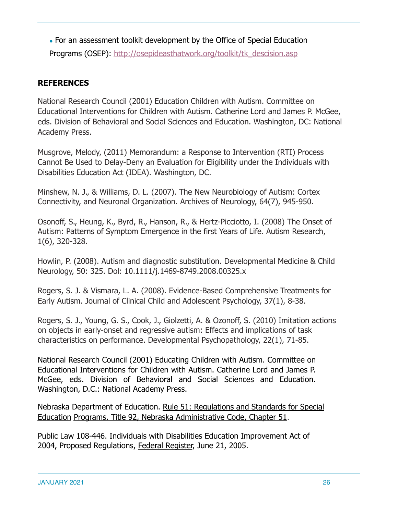• For an assessment toolkit development by the Office of Special Education Programs (OSEP): [http://osepideasthatwork.org/toolkit/tk\\_descision.asp](http://osepideasthatwork.org/toolkit/tk_descision.asp)

# **REFERENCES**

National Research Council (2001) Education Children with Autism. Committee on Educational Interventions for Children with Autism. Catherine Lord and James P. McGee, eds. Division of Behavioral and Social Sciences and Education. Washington, DC: National Academy Press.

Musgrove, Melody, (2011) Memorandum: a Response to Intervention (RTI) Process Cannot Be Used to Delay-Deny an Evaluation for Eligibility under the Individuals with Disabilities Education Act (IDEA). Washington, DC.

Minshew, N. J., & Williams, D. L. (2007). The New Neurobiology of Autism: Cortex Connectivity, and Neuronal Organization. Archives of Neurology, 64(7), 945-950.

Osonoff, S., Heung, K., Byrd, R., Hanson, R., & Hertz-Picciotto, I. (2008) The Onset of Autism: Patterns of Symptom Emergence in the first Years of Life. Autism Research, 1(6), 320-328.

Howlin, P. (2008). Autism and diagnostic substitution. Developmental Medicine & Child Neurology, 50: 325. Dol: 10.1111/j.1469-8749.2008.00325.x

Rogers, S. J. & Vismara, L. A. (2008). Evidence-Based Comprehensive Treatments for Early Autism. Journal of Clinical Child and Adolescent Psychology, 37(1), 8-38.

Rogers, S. J., Young, G. S., Cook, J., Giolzetti, A. & Ozonoff, S. (2010) Imitation actions on objects in early-onset and regressive autism: Effects and implications of task characteristics on performance. Developmental Psychopathology, 22(1), 71-85.

National Research Council (2001) Educating Children with Autism. Committee on Educational Interventions for Children with Autism. Catherine Lord and James P. McGee, eds. Division of Behavioral and Social Sciences and Education. Washington, D.C.: National Academy Press.

Nebraska Department of Education. Rule 51: Regulations and Standards for Special Education Programs. Title 92, Nebraska Administrative Code, Chapter 51.

Public Law 108-446. Individuals with Disabilities Education Improvement Act of 2004, Proposed Regulations, Federal Register, June 21, 2005.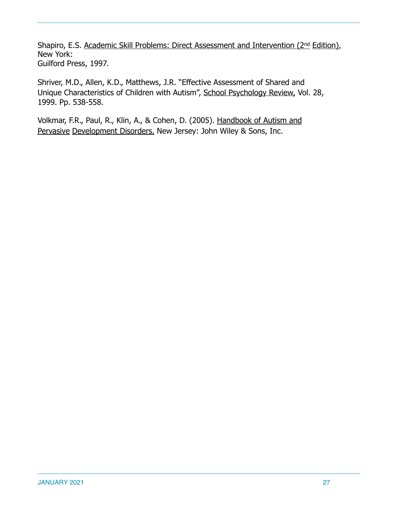Shapiro, E.S. Academic Skill Problems: Direct Assessment and Intervention (2<sup>nd</sup> Edition). New York: Guilford Press, 1997.

Shriver, M.D., Allen, K.D., Matthews, J.R. "Effective Assessment of Shared and Unique Characteristics of Children with Autism", School Psychology Review, Vol. 28, 1999. Pp. 538-558.

Volkmar, F.R., Paul, R., Klin, A., & Cohen, D. (2005). Handbook of Autism and Pervasive Development Disorders. New Jersey: John Wiley & Sons, Inc.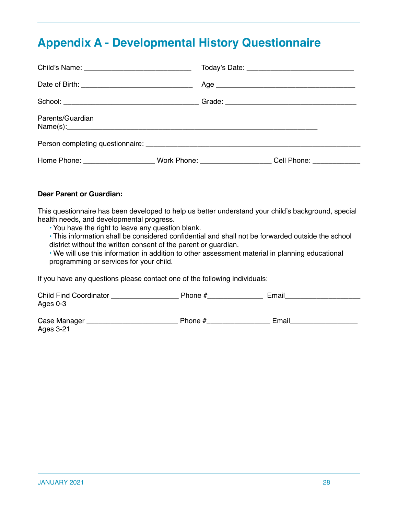# **Appendix A - Developmental History Questionnaire**

| Parents/Guardian<br>Name(s):                                                                         |  |  |
|------------------------------------------------------------------------------------------------------|--|--|
|                                                                                                      |  |  |
| Home Phone: ________________________Work Phone: _______________________Cell Phone: _________________ |  |  |

#### **Dear Parent or Guardian:**

This questionnaire has been developed to help us better understand your child's background, special health needs, and developmental progress.

• You have the right to leave any question blank.

• This information shall be considered confidential and shall not be forwarded outside the school district without the written consent of the parent or guardian.

• We will use this information in addition to other assessment material in planning educational programming or services for your child.

If you have any questions please contact one of the following individuals:

| <b>Child Find Coordinator</b> | Phone # | :mai |
|-------------------------------|---------|------|
| Ages 0-3                      |         |      |

| Case Manager | Phone # | -mail |
|--------------|---------|-------|
| Ages 3-21    |         |       |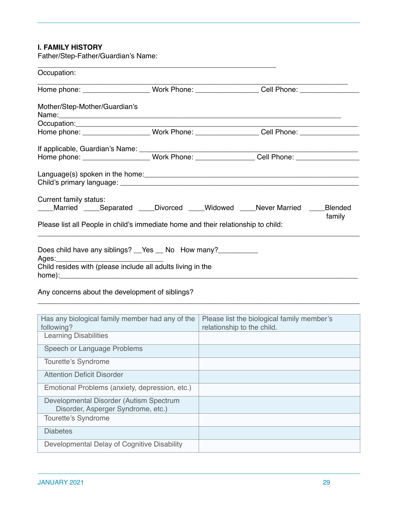#### **I. FAMILY HISTORY**

Father/Step-Father/Guardian's Name:

| Occupation:                                                                                                                   |                                                                                                      |        |
|-------------------------------------------------------------------------------------------------------------------------------|------------------------------------------------------------------------------------------------------|--------|
|                                                                                                                               | Home phone: ____________________Work Phone: _________________Cell Phone: ______________              |        |
| Mother/Step-Mother/Guardian's                                                                                                 |                                                                                                      |        |
|                                                                                                                               |                                                                                                      |        |
|                                                                                                                               | Home phone: ______________________Work Phone: ___________________Cell Phone: _______________________ |        |
|                                                                                                                               |                                                                                                      |        |
|                                                                                                                               | Home phone: _________________________Work Phone: ____________________Cell Phone: ___________________ |        |
|                                                                                                                               |                                                                                                      |        |
| Current family status:                                                                                                        | Married ____Separated ____Divorced ____Widowed ____Never Married ____Blended                         | family |
| Please list all People in child's immediate home and their relationship to child:                                             |                                                                                                      |        |
| Does child have any siblings? __Yes __ No How many? __________<br>Child resides with (please include all adults living in the |                                                                                                      |        |

### Any concerns about the development of siblings?

| Has any biological family member had any of the<br>following?                 | Please list the biological family member's<br>relationship to the child. |
|-------------------------------------------------------------------------------|--------------------------------------------------------------------------|
| <b>Learning Disabilities</b>                                                  |                                                                          |
| Speech or Language Problems                                                   |                                                                          |
| Tourette's Syndrome                                                           |                                                                          |
| <b>Attention Deficit Disorder</b>                                             |                                                                          |
| Emotional Problems (anxiety, depression, etc.)                                |                                                                          |
| Developmental Disorder (Autism Spectrum<br>Disorder, Asperger Syndrome, etc.) |                                                                          |
| Tourette's Syndrome                                                           |                                                                          |
| <b>Diabetes</b>                                                               |                                                                          |
| Developmental Delay of Cognitive Disability                                   |                                                                          |

\_\_\_\_\_\_\_\_\_\_\_\_\_\_\_\_\_\_\_\_\_\_\_\_\_\_\_\_\_\_\_\_\_\_\_\_\_\_\_\_\_\_\_\_\_\_\_\_\_\_\_\_\_\_\_\_\_\_\_\_\_\_\_\_\_\_\_\_\_\_\_\_\_\_\_\_\_\_\_\_\_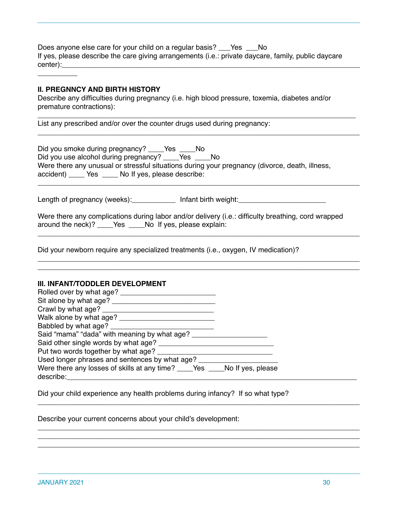Does anyone else care for your child on a regular basis? \_\_\_Yes \_\_\_No If yes, please describe the care giving arrangements (i.e.: private daycare, family, public daycare center):

#### **II. PREGNNCY AND BIRTH HISTORY**

 $\overline{\phantom{a}}$ 

Describe any difficulties during pregnancy (i.e. high blood pressure, toxemia, diabetes and/or premature contractions):

\_\_\_\_\_\_\_\_\_\_\_\_\_\_\_\_\_\_\_\_\_\_\_\_\_\_\_\_\_\_\_\_\_\_\_\_\_\_\_\_\_\_\_\_\_\_\_\_\_\_\_\_\_\_\_\_\_\_\_\_\_\_\_\_\_\_\_\_\_\_\_\_\_\_\_\_\_\_\_\_

\_\_\_\_\_\_\_\_\_\_\_\_\_\_\_\_\_\_\_\_\_\_\_\_\_\_\_\_\_\_\_\_\_\_\_\_\_\_\_\_\_\_\_\_\_\_\_\_\_\_\_\_\_\_\_\_\_\_\_\_\_\_\_\_\_\_\_\_\_\_\_\_\_\_\_\_\_\_\_\_\_

\_\_\_\_\_\_\_\_\_\_\_\_\_\_\_\_\_\_\_\_\_\_\_\_\_\_\_\_\_\_\_\_\_\_\_\_\_\_\_\_\_\_\_\_\_\_\_\_\_\_\_\_\_\_\_\_\_\_\_\_\_\_\_\_\_\_\_\_\_\_\_\_\_\_\_\_\_\_\_\_\_

\_\_\_\_\_\_\_\_\_\_\_\_\_\_\_\_\_\_\_\_\_\_\_\_\_\_\_\_\_\_\_\_\_\_\_\_\_\_\_\_\_\_\_\_\_\_\_\_\_\_\_\_\_\_\_\_\_\_\_\_\_\_\_\_\_\_\_\_\_\_\_\_\_\_\_\_\_\_\_\_\_

\_\_\_\_\_\_\_\_\_\_\_\_\_\_\_\_\_\_\_\_\_\_\_\_\_\_\_\_\_\_\_\_\_\_\_\_\_\_\_\_\_\_\_\_\_\_\_\_\_\_\_\_\_\_\_\_\_\_\_\_\_\_\_\_\_\_\_\_\_\_\_\_\_\_\_\_\_\_\_\_\_ \_\_\_\_\_\_\_\_\_\_\_\_\_\_\_\_\_\_\_\_\_\_\_\_\_\_\_\_\_\_\_\_\_\_\_\_\_\_\_\_\_\_\_\_\_\_\_\_\_\_\_\_\_\_\_\_\_\_\_\_\_\_\_\_\_\_\_\_\_\_\_\_\_\_\_\_\_\_\_\_\_

List any prescribed and/or over the counter drugs used during pregnancy:

| Did you smoke during pregnancy? ______Yes<br>in No                                             |  |
|------------------------------------------------------------------------------------------------|--|
| Did you use alcohol during pregnancy? _____Yes<br>in No                                        |  |
| Were there any unusual or stressful situations during your pregnancy (divorce, death, illness, |  |
| accident) _______ Yes ______ No If yes, please describe:                                       |  |

Length of pregnancy (weeks):\_\_\_\_\_\_\_\_\_\_\_\_\_\_ Infant birth weight:\_\_\_\_\_\_\_\_\_\_\_\_\_\_\_\_\_

Were there any complications during labor and/or delivery (i.e.: difficulty breathing, cord wrapped around the neck)? \_\_\_\_Yes \_\_\_\_No If yes, please explain:

Did your newborn require any specialized treatments (i.e., oxygen, IV medication)?

#### **III. INFANT/TODDLER DEVELOPMENT**

| Rolled over by what age?                                                                    |  |
|---------------------------------------------------------------------------------------------|--|
| Sit alone by what age?                                                                      |  |
| Crawl by what age?                                                                          |  |
| Walk alone by what age?                                                                     |  |
| Babbled by what age?                                                                        |  |
| Said "mama" "dada" with meaning by what age?                                                |  |
| Said other single words by what age?                                                        |  |
| Put two words together by what age?                                                         |  |
| Used longer phrases and sentences by what age?                                              |  |
| Were there any losses of skills at any time? ______Yes ______No If yes, please<br>describe: |  |

\_\_\_\_\_\_\_\_\_\_\_\_\_\_\_\_\_\_\_\_\_\_\_\_\_\_\_\_\_\_\_\_\_\_\_\_\_\_\_\_\_\_\_\_\_\_\_\_\_\_\_\_\_\_\_\_\_\_\_\_\_\_\_\_\_\_\_\_\_\_\_\_\_\_\_\_\_\_\_\_\_

\_\_\_\_\_\_\_\_\_\_\_\_\_\_\_\_\_\_\_\_\_\_\_\_\_\_\_\_\_\_\_\_\_\_\_\_\_\_\_\_\_\_\_\_\_\_\_\_\_\_\_\_\_\_\_\_\_\_\_\_\_\_\_\_\_\_\_\_\_\_\_\_\_\_\_\_\_\_\_\_\_ \_\_\_\_\_\_\_\_\_\_\_\_\_\_\_\_\_\_\_\_\_\_\_\_\_\_\_\_\_\_\_\_\_\_\_\_\_\_\_\_\_\_\_\_\_\_\_\_\_\_\_\_\_\_\_\_\_\_\_\_\_\_\_\_\_\_\_\_\_\_\_\_\_\_\_\_\_\_\_\_\_ \_\_\_\_\_\_\_\_\_\_\_\_\_\_\_\_\_\_\_\_\_\_\_\_\_\_\_\_\_\_\_\_\_\_\_\_\_\_\_\_\_\_\_\_\_\_\_\_\_\_\_\_\_\_\_\_\_\_\_\_\_\_\_\_\_\_\_\_\_\_\_\_\_\_\_\_\_\_\_\_\_

Did your child experience any health problems during infancy? If so what type?

Describe your current concerns about your child's development: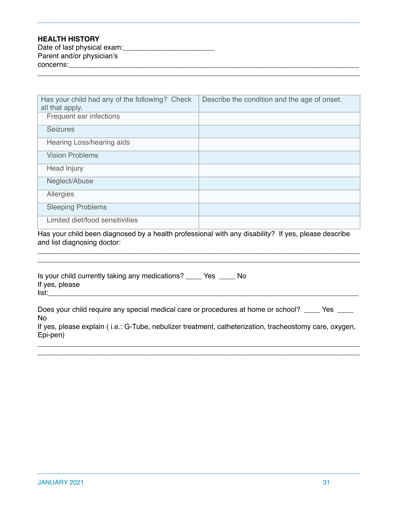#### **HEALTH HISTORY**

| Date of last physical exam: |  |
|-----------------------------|--|
| Parent and/or physician's   |  |
| concerns:                   |  |
|                             |  |

| Has your child had any of the following? Check<br>all that apply. | Describe the condition and the age of onset. |
|-------------------------------------------------------------------|----------------------------------------------|
| Frequent ear infections                                           |                                              |
| <b>Seizures</b>                                                   |                                              |
| Hearing Loss/hearing aids                                         |                                              |
| <b>Vision Problems</b>                                            |                                              |
| Head Injury                                                       |                                              |
| Neglect/Abuse                                                     |                                              |
| Allergies                                                         |                                              |
| <b>Sleeping Problems</b>                                          |                                              |
| Limited diet/food sensitivities                                   |                                              |

Has your child been diagnosed by a health professional with any disability? If yes, please describe and list diagnosing doctor:

\_\_\_\_\_\_\_\_\_\_\_\_\_\_\_\_\_\_\_\_\_\_\_\_\_\_\_\_\_\_\_\_\_\_\_\_\_\_\_\_\_\_\_\_\_\_\_\_\_\_\_\_\_\_\_\_\_\_\_\_\_\_\_\_\_\_\_\_\_\_\_\_\_\_\_\_\_\_\_\_\_

| Is your child currently taking any medications? _____ Yes _____ No<br>If yes, please<br>list:                                                                                                                            |
|--------------------------------------------------------------------------------------------------------------------------------------------------------------------------------------------------------------------------|
| Does your child require any special medical care or procedures at home or school? _____ Yes<br>No.<br>If yes, please explain (i.e.: G-Tube, nebulizer treatment, catheterization, tracheostomy care, oxygen,<br>Epi-pen) |

\_\_\_\_\_\_\_\_\_\_\_\_\_\_\_\_\_\_\_\_\_\_\_\_\_\_\_\_\_\_\_\_\_\_\_\_\_\_\_\_\_\_\_\_\_\_\_\_\_\_\_\_\_\_\_\_\_\_\_\_\_\_\_\_\_\_\_\_\_\_\_\_\_\_\_\_\_\_\_\_\_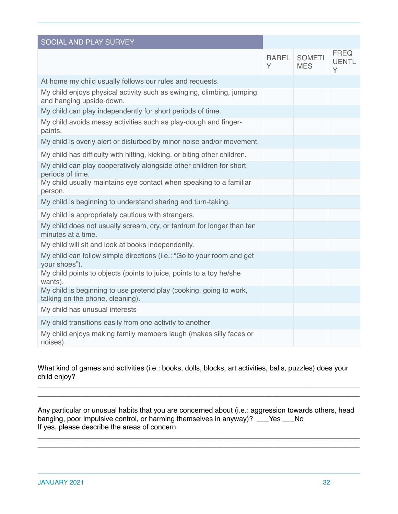| SOCIAL AND PLAY SURVEY                                                                                 |                   |                             |                                  |
|--------------------------------------------------------------------------------------------------------|-------------------|-----------------------------|----------------------------------|
|                                                                                                        | <b>RAREL</b><br>Υ | <b>SOMETI</b><br><b>MES</b> | <b>FREQ</b><br><b>UENTL</b><br>Y |
| At home my child usually follows our rules and requests.                                               |                   |                             |                                  |
| My child enjoys physical activity such as swinging, climbing, jumping<br>and hanging upside-down.      |                   |                             |                                  |
| My child can play independently for short periods of time.                                             |                   |                             |                                  |
| My child avoids messy activities such as play-dough and finger-<br>paints.                             |                   |                             |                                  |
| My child is overly alert or disturbed by minor noise and/or movement.                                  |                   |                             |                                  |
| My child has difficulty with hitting, kicking, or biting other children.                               |                   |                             |                                  |
| My child can play cooperatively alongside other children for short<br>periods of time.                 |                   |                             |                                  |
| My child usually maintains eye contact when speaking to a familiar<br>person.                          |                   |                             |                                  |
| My child is beginning to understand sharing and turn-taking.                                           |                   |                             |                                  |
| My child is appropriately cautious with strangers.                                                     |                   |                             |                                  |
| My child does not usually scream, cry, or tantrum for longer than ten<br>minutes at a time.            |                   |                             |                                  |
| My child will sit and look at books independently.                                                     |                   |                             |                                  |
| My child can follow simple directions (i.e.: "Go to your room and get<br>your shoes").                 |                   |                             |                                  |
| My child points to objects (points to juice, points to a toy he/she<br>wants).                         |                   |                             |                                  |
| My child is beginning to use pretend play (cooking, going to work,<br>talking on the phone, cleaning). |                   |                             |                                  |
| My child has unusual interests                                                                         |                   |                             |                                  |
| My child transitions easily from one activity to another                                               |                   |                             |                                  |
| My child enjoys making family members laugh (makes silly faces or<br>noises).                          |                   |                             |                                  |

What kind of games and activities (i.e.: books, dolls, blocks, art activities, balls, puzzles) does your child enjoy?

\_\_\_\_\_\_\_\_\_\_\_\_\_\_\_\_\_\_\_\_\_\_\_\_\_\_\_\_\_\_\_\_\_\_\_\_\_\_\_\_\_\_\_\_\_\_\_\_\_\_\_\_\_\_\_\_\_\_\_\_\_\_\_\_\_\_\_\_\_\_\_\_\_\_\_\_\_\_\_\_\_ \_\_\_\_\_\_\_\_\_\_\_\_\_\_\_\_\_\_\_\_\_\_\_\_\_\_\_\_\_\_\_\_\_\_\_\_\_\_\_\_\_\_\_\_\_\_\_\_\_\_\_\_\_\_\_\_\_\_\_\_\_\_\_\_\_\_\_\_\_\_\_\_\_\_\_\_\_\_\_\_\_

Any particular or unusual habits that you are concerned about (i.e.: aggression towards others, head banging, poor impulsive control, or harming themselves in anyway)? \_\_\_Yes \_\_\_No If yes, please describe the areas of concern:

\_\_\_\_\_\_\_\_\_\_\_\_\_\_\_\_\_\_\_\_\_\_\_\_\_\_\_\_\_\_\_\_\_\_\_\_\_\_\_\_\_\_\_\_\_\_\_\_\_\_\_\_\_\_\_\_\_\_\_\_\_\_\_\_\_\_\_\_\_\_\_\_\_\_\_\_\_\_\_\_\_ \_\_\_\_\_\_\_\_\_\_\_\_\_\_\_\_\_\_\_\_\_\_\_\_\_\_\_\_\_\_\_\_\_\_\_\_\_\_\_\_\_\_\_\_\_\_\_\_\_\_\_\_\_\_\_\_\_\_\_\_\_\_\_\_\_\_\_\_\_\_\_\_\_\_\_\_\_\_\_\_\_